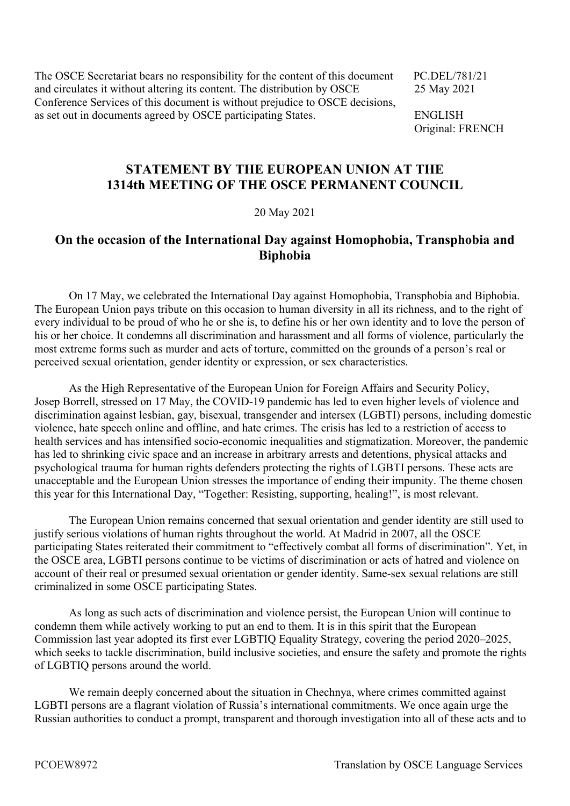The OSCE Secretariat bears no responsibility for the content of this document PC.DEL/781/21 and circulates it without altering its content. The distribution by OSCE 25 May 2021 Conference Services of this document is without prejudice to OSCE decisions, as set out in documents agreed by OSCE participating States. ENGLISH

Original: FRENCH

## **STATEMENT BY THE EUROPEAN UNION AT THE 1314th MEETING OF THE OSCE PERMANENT COUNCIL**

## 20 May 2021

## **On the occasion of the International Day against Homophobia, Transphobia and Biphobia**

 On 17 May, we celebrated the International Day against Homophobia, Transphobia and Biphobia. The European Union pays tribute on this occasion to human diversity in all its richness, and to the right of every individual to be proud of who he or she is, to define his or her own identity and to love the person of his or her choice. It condemns all discrimination and harassment and all forms of violence, particularly the most extreme forms such as murder and acts of torture, committed on the grounds of a person's real or perceived sexual orientation, gender identity or expression, or sex characteristics.

 As the High Representative of the European Union for Foreign Affairs and Security Policy, Josep Borrell, stressed on 17 May, the COVID-19 pandemic has led to even higher levels of violence and discrimination against lesbian, gay, bisexual, transgender and intersex (LGBTI) persons, including domestic violence, hate speech online and offline, and hate crimes. The crisis has led to a restriction of access to health services and has intensified socio-economic inequalities and stigmatization. Moreover, the pandemic has led to shrinking civic space and an increase in arbitrary arrests and detentions, physical attacks and psychological trauma for human rights defenders protecting the rights of LGBTI persons. These acts are unacceptable and the European Union stresses the importance of ending their impunity. The theme chosen this year for this International Day, "Together: Resisting, supporting, healing!", is most relevant.

 The European Union remains concerned that sexual orientation and gender identity are still used to justify serious violations of human rights throughout the world. At Madrid in 2007, all the OSCE participating States reiterated their commitment to "effectively combat all forms of discrimination". Yet, in the OSCE area, LGBTI persons continue to be victims of discrimination or acts of hatred and violence on account of their real or presumed sexual orientation or gender identity. Same-sex sexual relations are still criminalized in some OSCE participating States.

 As long as such acts of discrimination and violence persist, the European Union will continue to condemn them while actively working to put an end to them. It is in this spirit that the European Commission last year adopted its first ever LGBTIQ Equality Strategy, covering the period 2020–2025, which seeks to tackle discrimination, build inclusive societies, and ensure the safety and promote the rights of LGBTIQ persons around the world.

 We remain deeply concerned about the situation in Chechnya, where crimes committed against LGBTI persons are a flagrant violation of Russia's international commitments. We once again urge the Russian authorities to conduct a prompt, transparent and thorough investigation into all of these acts and to